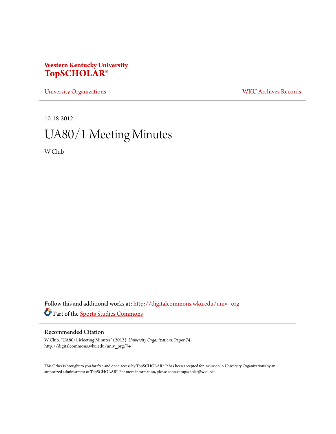# **Western Kentucky University [TopSCHOLAR®](http://digitalcommons.wku.edu?utm_source=digitalcommons.wku.edu%2Funiv_org%2F74&utm_medium=PDF&utm_campaign=PDFCoverPages)**

[University Organizations](http://digitalcommons.wku.edu/univ_org?utm_source=digitalcommons.wku.edu%2Funiv_org%2F74&utm_medium=PDF&utm_campaign=PDFCoverPages) [WKU Archives Records](http://digitalcommons.wku.edu/dlsc_ua_records?utm_source=digitalcommons.wku.edu%2Funiv_org%2F74&utm_medium=PDF&utm_campaign=PDFCoverPages)

10-18-2012

# UA80/1 Meeting Minutes

W Club

Follow this and additional works at: [http://digitalcommons.wku.edu/univ\\_org](http://digitalcommons.wku.edu/univ_org?utm_source=digitalcommons.wku.edu%2Funiv_org%2F74&utm_medium=PDF&utm_campaign=PDFCoverPages) Part of the [Sports Studies Commons](http://network.bepress.com/hgg/discipline/1198?utm_source=digitalcommons.wku.edu%2Funiv_org%2F74&utm_medium=PDF&utm_campaign=PDFCoverPages)

## Recommended Citation

W Club, "UA80/1 Meeting Minutes" (2012). *University Organizations.* Paper 74. http://digitalcommons.wku.edu/univ\_org/74

This Other is brought to you for free and open access by TopSCHOLAR®. It has been accepted for inclusion in University Organizations by an authorized administrator of TopSCHOLAR®. For more information, please contact topscholar@wku.edu.